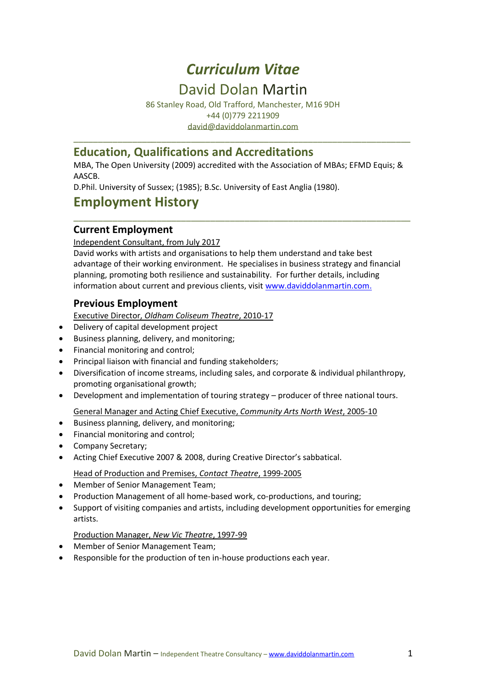# *Curriculum Vitae*

# David Dolan Martin

86 Stanley Road, Old Trafford, Manchester, M16 9DH +44 (0)779 2211909 [david@daviddolanmartin.com](mailto:david@daviddolanmartin.com)

\_\_\_\_\_\_\_\_\_\_\_\_\_\_\_\_\_\_\_\_\_\_\_\_\_\_\_\_\_\_\_\_\_\_\_\_\_\_\_\_\_\_\_\_\_\_\_\_\_\_\_\_\_\_\_\_\_\_\_\_\_\_\_\_\_\_\_\_\_

## **Education, Qualifications and Accreditations**

MBA, The Open University (2009) accredited with the Association of MBAs; EFMD Equis; & AASCB.

\_\_\_\_\_\_\_\_\_\_\_\_\_\_\_\_\_\_\_\_\_\_\_\_\_\_\_\_\_\_\_\_\_\_\_\_\_\_\_\_\_\_\_\_\_\_\_\_\_\_\_\_\_\_\_\_\_\_\_\_\_\_\_\_\_\_\_\_\_

D.Phil. University of Sussex; (1985); B.Sc. University of East Anglia (1980).

# **Employment History**

#### **Current Employment**

Independent Consultant, from July 2017

David works with artists and organisations to help them understand and take best advantage of their working environment. He specialises in business strategy and financial planning, promoting both resilience and sustainability. For further details, including information about current and previous clients, visit [www.daviddolanmartin.com.](http://www.daviddolanmartin.com/)

### **Previous Employment**

Executive Director, *Oldham Coliseum Theatre*, 2010-17

- Delivery of capital development project
- Business planning, delivery, and monitoring;
- Financial monitoring and control;
- Principal liaison with financial and funding stakeholders;
- Diversification of income streams, including sales, and corporate & individual philanthropy, promoting organisational growth;
- Development and implementation of touring strategy producer of three national tours.

General Manager and Acting Chief Executive, *Community Arts North West*, 2005-10

- Business planning, delivery, and monitoring;
- Financial monitoring and control;
- Company Secretary;
- Acting Chief Executive 2007 & 2008, during Creative Director's sabbatical.

#### Head of Production and Premises, *Contact Theatre*, 1999-2005

- Member of Senior Management Team;
- Production Management of all home-based work, co-productions, and touring;
- Support of visiting companies and artists, including development opportunities for emerging artists.

#### Production Manager, *New Vic Theatre*, 1997-99

- Member of Senior Management Team;
- Responsible for the production of ten in-house productions each year.